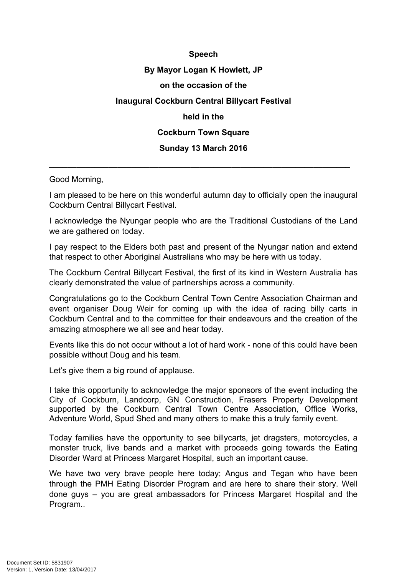## **Speech By Mayor Logan K Howlett, JP on the occasion of the Inaugural Cockburn Central Billycart Festival held in the Cockburn Town Square Sunday 13 March 2016**

## Good Morning,

I am pleased to be here on this wonderful autumn day to officially open the inaugural Cockburn Central Billycart Festival.

**\_\_\_\_\_\_\_\_\_\_\_\_\_\_\_\_\_\_\_\_\_\_\_\_\_\_\_\_\_\_\_\_\_\_\_\_\_\_\_\_\_\_\_\_\_\_\_\_\_\_\_\_\_\_\_\_\_\_\_\_\_\_\_\_\_\_**

I acknowledge the Nyungar people who are the Traditional Custodians of the Land we are gathered on today.

I pay respect to the Elders both past and present of the Nyungar nation and extend that respect to other Aboriginal Australians who may be here with us today.

The Cockburn Central Billycart Festival, the first of its kind in Western Australia has clearly demonstrated the value of partnerships across a community.

Congratulations go to the Cockburn Central Town Centre Association Chairman and event organiser Doug Weir for coming up with the idea of racing billy carts in Cockburn Central and to the committee for their endeavours and the creation of the amazing atmosphere we all see and hear today.

Events like this do not occur without a lot of hard work - none of this could have been possible without Doug and his team.

Let's give them a big round of applause.

I take this opportunity to acknowledge the major sponsors of the event including the City of Cockburn, Landcorp, GN Construction, Frasers Property Development supported by the Cockburn Central Town Centre Association, Office Works, Adventure World, Spud Shed and many others to make this a truly family event.

Today families have the opportunity to see billycarts, jet dragsters, motorcycles, a monster truck, live bands and a market with proceeds going towards the Eating Disorder Ward at Princess Margaret Hospital, such an important cause.

We have two very brave people here today; Angus and Tegan who have been through the PMH Eating Disorder Program and are here to share their story. Well done guys – you are great ambassadors for Princess Margaret Hospital and the Program..